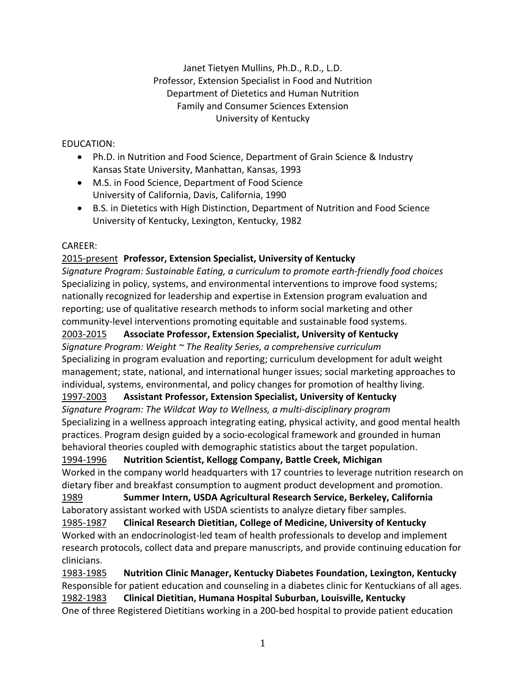# Janet Tietyen Mullins, Ph.D., R.D., L.D. Professor, Extension Specialist in Food and Nutrition Department of Dietetics and Human Nutrition Family and Consumer Sciences Extension University of Kentucky

## EDUCATION:

- Ph.D. in Nutrition and Food Science, Department of Grain Science & Industry Kansas State University, Manhattan, Kansas, 1993
- M.S. in Food Science, Department of Food Science University of California, Davis, California, 1990
- B.S. in Dietetics with High Distinction, Department of Nutrition and Food Science University of Kentucky, Lexington, Kentucky, 1982

# CAREER:

# 2015-present **Professor, Extension Specialist, University of Kentucky**

*Signature Program: Sustainable Eating, a curriculum to promote earth-friendly food choices* Specializing in policy, systems, and environmental interventions to improve food systems; nationally recognized for leadership and expertise in Extension program evaluation and reporting; use of qualitative research methods to inform social marketing and other community-level interventions promoting equitable and sustainable food systems.

2003-2015 **Associate Professor, Extension Specialist, University of Kentucky** *Signature Program: Weight ~ The Reality Series, a comprehensive curriculum* Specializing in program evaluation and reporting; curriculum development for adult weight management; state, national, and international hunger issues; social marketing approaches to individual, systems, environmental, and policy changes for promotion of healthy living.

# 1997-2003 **Assistant Professor, Extension Specialist, University of Kentucky**

*Signature Program: The Wildcat Way to Wellness, a multi-disciplinary program* Specializing in a wellness approach integrating eating, physical activity, and good mental health practices. Program design guided by a socio-ecological framework and grounded in human behavioral theories coupled with demographic statistics about the target population.

# 1994-1996 **Nutrition Scientist, Kellogg Company, Battle Creek, Michigan**

Worked in the company world headquarters with 17 countries to leverage nutrition research on dietary fiber and breakfast consumption to augment product development and promotion.

1989 **Summer Intern, USDA Agricultural Research Service, Berkeley, California** Laboratory assistant worked with USDA scientists to analyze dietary fiber samples.

1985-1987 **Clinical Research Dietitian, College of Medicine, University of Kentucky** Worked with an endocrinologist-led team of health professionals to develop and implement research protocols, collect data and prepare manuscripts, and provide continuing education for clinicians.

1983-1985 **Nutrition Clinic Manager, Kentucky Diabetes Foundation, Lexington, Kentucky** Responsible for patient education and counseling in a diabetes clinic for Kentuckians of all ages. 1982-1983 **Clinical Dietitian, Humana Hospital Suburban, Louisville, Kentucky** One of three Registered Dietitians working in a 200-bed hospital to provide patient education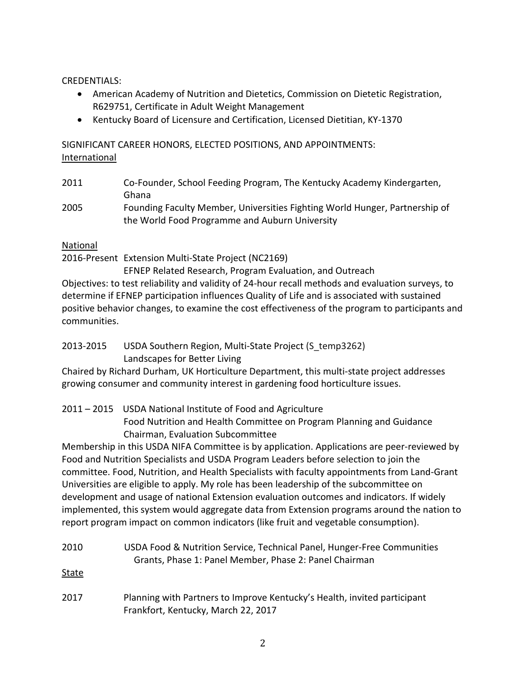#### CREDENTIALS:

- American Academy of Nutrition and Dietetics, Commission on Dietetic Registration, R629751, Certificate in Adult Weight Management
- Kentucky Board of Licensure and Certification, Licensed Dietitian, KY-1370

SIGNIFICANT CAREER HONORS, ELECTED POSITIONS, AND APPOINTMENTS: International

- 2011 Co-Founder, School Feeding Program, The Kentucky Academy Kindergarten, Ghana
- 2005 Founding Faculty Member, Universities Fighting World Hunger, Partnership of the World Food Programme and Auburn University

#### National

2016-Present Extension Multi-State Project (NC2169)

EFNEP Related Research, Program Evaluation, and Outreach

Objectives: to test reliability and validity of 24-hour recall methods and evaluation surveys, to determine if EFNEP participation influences Quality of Life and is associated with sustained positive behavior changes, to examine the cost effectiveness of the program to participants and communities.

# 2013-2015 USDA Southern Region, Multi-State Project (S\_temp3262) Landscapes for Better Living

Chaired by Richard Durham, UK Horticulture Department, this multi-state project addresses growing consumer and community interest in gardening food horticulture issues.

# 2011 – 2015 USDA National Institute of Food and Agriculture Food Nutrition and Health Committee on Program Planning and Guidance Chairman, Evaluation Subcommittee

Membership in this USDA NIFA Committee is by application. Applications are peer-reviewed by Food and Nutrition Specialists and USDA Program Leaders before selection to join the committee. Food, Nutrition, and Health Specialists with faculty appointments from Land-Grant Universities are eligible to apply. My role has been leadership of the subcommittee on development and usage of national Extension evaluation outcomes and indicators. If widely implemented, this system would aggregate data from Extension programs around the nation to report program impact on common indicators (like fruit and vegetable consumption).

# 2010 USDA Food & Nutrition Service, Technical Panel, Hunger-Free Communities Grants, Phase 1: Panel Member, Phase 2: Panel Chairman

State

2017 Planning with Partners to Improve Kentucky's Health, invited participant Frankfort, Kentucky, March 22, 2017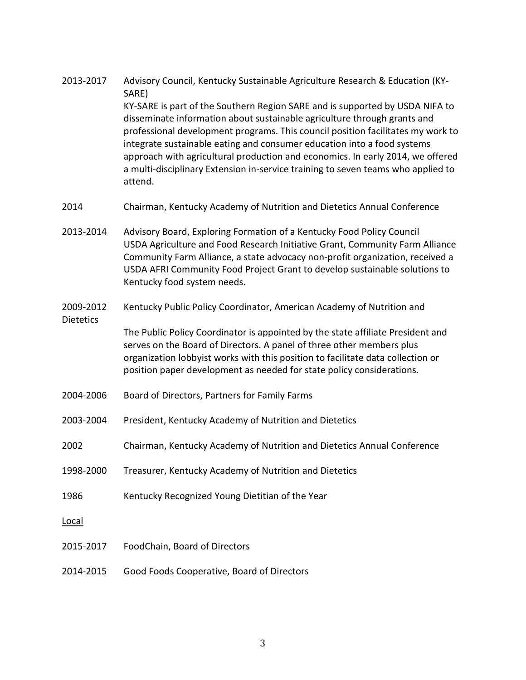- 2013-2017 Advisory Council, Kentucky Sustainable Agriculture Research & Education (KY-SARE) KY-SARE is part of the Southern Region SARE and is supported by USDA NIFA to disseminate information about sustainable agriculture through grants and professional development programs. This council position facilitates my work to integrate sustainable eating and consumer education into a food systems approach with agricultural production and economics. In early 2014, we offered a multi-disciplinary Extension in-service training to seven teams who applied to attend.
- 2014 Chairman, Kentucky Academy of Nutrition and Dietetics Annual Conference
- 2013-2014 Advisory Board, Exploring Formation of a Kentucky Food Policy Council USDA Agriculture and Food Research Initiative Grant, Community Farm Alliance Community Farm Alliance, a state advocacy non-profit organization, received a USDA AFRI Community Food Project Grant to develop sustainable solutions to Kentucky food system needs.
- 2009-2012 Kentucky Public Policy Coordinator, American Academy of Nutrition and Dietetics The Public Policy Coordinator is appointed by the state affiliate President and serves on the Board of Directors. A panel of three other members plus organization lobbyist works with this position to facilitate data collection or position paper development as needed for state policy considerations.
- 2004-2006 Board of Directors, Partners for Family Farms
- 2003-2004 President, Kentucky Academy of Nutrition and Dietetics
- 2002 Chairman, Kentucky Academy of Nutrition and Dietetics Annual Conference
- 1998-2000 Treasurer, Kentucky Academy of Nutrition and Dietetics
- 1986 Kentucky Recognized Young Dietitian of the Year
- Local
- 2015-2017 FoodChain, Board of Directors
- 2014-2015 Good Foods Cooperative, Board of Directors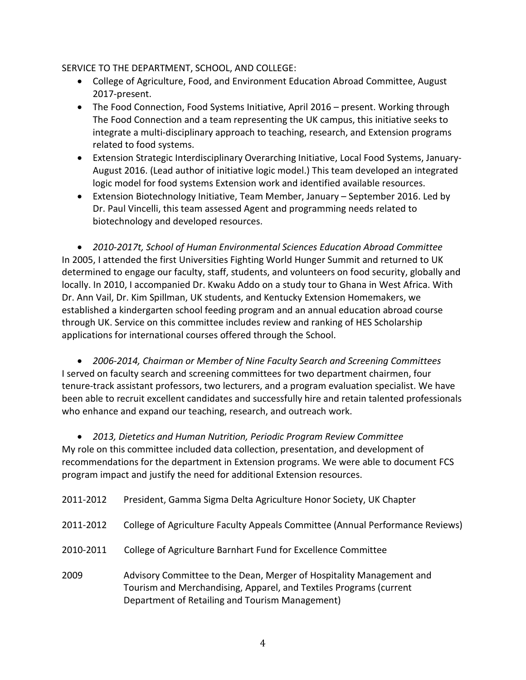#### SERVICE TO THE DEPARTMENT, SCHOOL, AND COLLEGE:

- College of Agriculture, Food, and Environment Education Abroad Committee, August 2017-present.
- The Food Connection, Food Systems Initiative, April 2016 present. Working through The Food Connection and a team representing the UK campus, this initiative seeks to integrate a multi-disciplinary approach to teaching, research, and Extension programs related to food systems.
- Extension Strategic Interdisciplinary Overarching Initiative, Local Food Systems, January-August 2016. (Lead author of initiative logic model.) This team developed an integrated logic model for food systems Extension work and identified available resources.
- Extension Biotechnology Initiative, Team Member, January September 2016. Led by Dr. Paul Vincelli, this team assessed Agent and programming needs related to biotechnology and developed resources.

• *2010-2017t, School of Human Environmental Sciences Education Abroad Committee* In 2005, I attended the first Universities Fighting World Hunger Summit and returned to UK determined to engage our faculty, staff, students, and volunteers on food security, globally and locally. In 2010, I accompanied Dr. Kwaku Addo on a study tour to Ghana in West Africa. With Dr. Ann Vail, Dr. Kim Spillman, UK students, and Kentucky Extension Homemakers, we established a kindergarten school feeding program and an annual education abroad course through UK. Service on this committee includes review and ranking of HES Scholarship applications for international courses offered through the School.

• *2006-2014, Chairman or Member of Nine Faculty Search and Screening Committees* I served on faculty search and screening committees for two department chairmen, four tenure-track assistant professors, two lecturers, and a program evaluation specialist. We have been able to recruit excellent candidates and successfully hire and retain talented professionals who enhance and expand our teaching, research, and outreach work.

• *2013, Dietetics and Human Nutrition, Periodic Program Review Committee* My role on this committee included data collection, presentation, and development of recommendations for the department in Extension programs. We were able to document FCS program impact and justify the need for additional Extension resources.

| 2011-2012 | President, Gamma Sigma Delta Agriculture Honor Society, UK Chapter                                                                                                                            |
|-----------|-----------------------------------------------------------------------------------------------------------------------------------------------------------------------------------------------|
| 2011-2012 | College of Agriculture Faculty Appeals Committee (Annual Performance Reviews)                                                                                                                 |
| 2010-2011 | College of Agriculture Barnhart Fund for Excellence Committee                                                                                                                                 |
| 2009      | Advisory Committee to the Dean, Merger of Hospitality Management and<br>Tourism and Merchandising, Apparel, and Textiles Programs (current<br>Department of Retailing and Tourism Management) |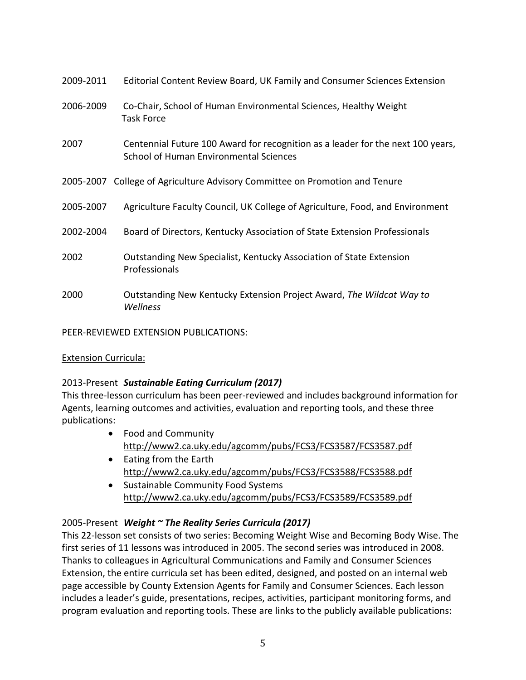| 2009-2011 | Editorial Content Review Board, UK Family and Consumer Sciences Extension                                                        |
|-----------|----------------------------------------------------------------------------------------------------------------------------------|
| 2006-2009 | Co-Chair, School of Human Environmental Sciences, Healthy Weight<br><b>Task Force</b>                                            |
| 2007      | Centennial Future 100 Award for recognition as a leader for the next 100 years,<br><b>School of Human Environmental Sciences</b> |
|           | 2005-2007 College of Agriculture Advisory Committee on Promotion and Tenure                                                      |
| 2005-2007 | Agriculture Faculty Council, UK College of Agriculture, Food, and Environment                                                    |
| 2002-2004 | Board of Directors, Kentucky Association of State Extension Professionals                                                        |
| 2002      | Outstanding New Specialist, Kentucky Association of State Extension<br>Professionals                                             |
| 2000      | Outstanding New Kentucky Extension Project Award, The Wildcat Way to<br>Wellness                                                 |

PEER-REVIEWED EXTENSION PUBLICATIONS:

#### Extension Curricula:

#### 2013-Present *Sustainable Eating Curriculum (2017)*

This three-lesson curriculum has been peer-reviewed and includes background information for Agents, learning outcomes and activities, evaluation and reporting tools, and these three publications:

- Food and Community <http://www2.ca.uky.edu/agcomm/pubs/FCS3/FCS3587/FCS3587.pdf>
- Eating from the Earth <http://www2.ca.uky.edu/agcomm/pubs/FCS3/FCS3588/FCS3588.pdf>
- Sustainable Community Food Systems <http://www2.ca.uky.edu/agcomm/pubs/FCS3/FCS3589/FCS3589.pdf>

#### 2005-Present *Weight ~ The Reality Series Curricula (2017)*

This 22-lesson set consists of two series: Becoming Weight Wise and Becoming Body Wise. The first series of 11 lessons was introduced in 2005. The second series was introduced in 2008. Thanks to colleagues in Agricultural Communications and Family and Consumer Sciences Extension, the entire curricula set has been edited, designed, and posted on an internal web page accessible by County Extension Agents for Family and Consumer Sciences. Each lesson includes a leader's guide, presentations, recipes, activities, participant monitoring forms, and program evaluation and reporting tools. These are links to the publicly available publications: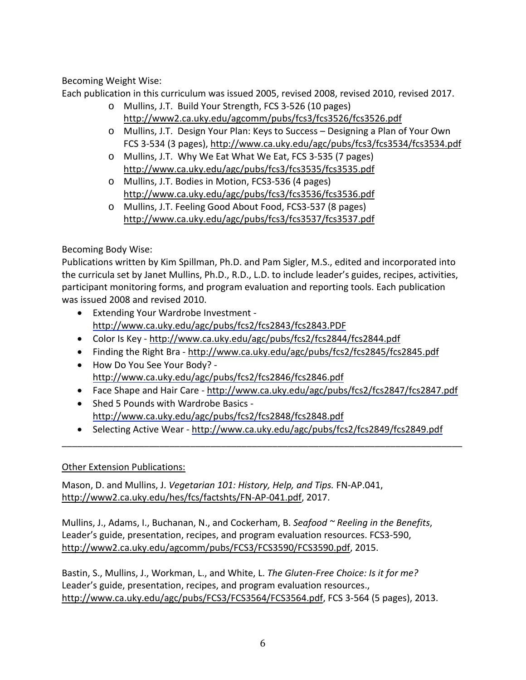Becoming Weight Wise:

Each publication in this curriculum was issued 2005, revised 2008, revised 2010, revised 2017.

- o Mullins, J.T. Build Your Strength, FCS 3-526 (10 pages) <http://www2.ca.uky.edu/agcomm/pubs/fcs3/fcs3526/fcs3526.pdf>
- o Mullins, J.T. Design Your Plan: Keys to Success Designing a Plan of Your Own FCS 3-534 (3 pages),<http://www.ca.uky.edu/agc/pubs/fcs3/fcs3534/fcs3534.pdf>
- o Mullins, J.T. Why We Eat What We Eat, FCS 3-535 (7 pages) <http://www.ca.uky.edu/agc/pubs/fcs3/fcs3535/fcs3535.pdf>
- o Mullins, J.T. Bodies in Motion, FCS3-536 (4 pages) <http://www.ca.uky.edu/agc/pubs/fcs3/fcs3536/fcs3536.pdf>
- o Mullins, J.T. Feeling Good About Food, FCS3-537 (8 pages) <http://www.ca.uky.edu/agc/pubs/fcs3/fcs3537/fcs3537.pdf>

Becoming Body Wise:

Publications written by Kim Spillman, Ph.D. and Pam Sigler, M.S., edited and incorporated into the curricula set by Janet Mullins, Ph.D., R.D., L.D. to include leader's guides, recipes, activities, participant monitoring forms, and program evaluation and reporting tools. Each publication was issued 2008 and revised 2010.

- Extending Your Wardrobe Investment [http://www.ca.uky.edu/agc/pubs/fcs2/fcs2843/fcs2843.PDF](https://exchange.uky.edu/owa/redir.aspx?C=zmESSBHQv0u9FX3R6mD0pneM4-H9_dAI1LQnyXQGGazWMGiL9fefWvJSkW34NP4vMPn4wdQ2HJM.&URL=http%3a%2f%2fwww.ca.uky.edu%2fagc%2fpubs%2ffcs2%2ffcs2843%2ffcs2843.PDF)
- Color Is Key [http://www.ca.uky.edu/agc/pubs/fcs2/fcs2844/fcs2844.pdf](https://exchange.uky.edu/owa/redir.aspx?C=zmESSBHQv0u9FX3R6mD0pneM4-H9_dAI1LQnyXQGGazWMGiL9fefWvJSkW34NP4vMPn4wdQ2HJM.&URL=http%3a%2f%2fwww.ca.uky.edu%2fagc%2fpubs%2ffcs2%2ffcs2844%2ffcs2844.pdf)
- Finding the Right Bra [http://www.ca.uky.edu/agc/pubs/fcs2/fcs2845/fcs2845.pdf](https://exchange.uky.edu/owa/redir.aspx?C=zmESSBHQv0u9FX3R6mD0pneM4-H9_dAI1LQnyXQGGazWMGiL9fefWvJSkW34NP4vMPn4wdQ2HJM.&URL=http%3a%2f%2fwww.ca.uky.edu%2fagc%2fpubs%2ffcs2%2ffcs2845%2ffcs2845.pdf)
- How Do You See Your Body? [http://www.ca.uky.edu/agc/pubs/fcs2/fcs2846/fcs2846.pdf](https://exchange.uky.edu/owa/redir.aspx?C=zmESSBHQv0u9FX3R6mD0pneM4-H9_dAI1LQnyXQGGazWMGiL9fefWvJSkW34NP4vMPn4wdQ2HJM.&URL=http%3a%2f%2fwww.ca.uky.edu%2fagc%2fpubs%2ffcs2%2ffcs2846%2ffcs2846.pdf)
- Face Shape and Hair Care [http://www.ca.uky.edu/agc/pubs/fcs2/fcs2847/fcs2847.pdf](https://exchange.uky.edu/owa/redir.aspx?C=zmESSBHQv0u9FX3R6mD0pneM4-H9_dAI1LQnyXQGGazWMGiL9fefWvJSkW34NP4vMPn4wdQ2HJM.&URL=http%3a%2f%2fwww.ca.uky.edu%2fagc%2fpubs%2ffcs2%2ffcs2847%2ffcs2847.pdf)
- Shed 5 Pounds with Wardrobe Basics [http://www.ca.uky.edu/agc/pubs/fcs2/fcs2848/fcs2848.pdf](https://exchange.uky.edu/owa/redir.aspx?C=zmESSBHQv0u9FX3R6mD0pneM4-H9_dAI1LQnyXQGGazWMGiL9fefWvJSkW34NP4vMPn4wdQ2HJM.&URL=http%3a%2f%2fwww.ca.uky.edu%2fagc%2fpubs%2ffcs2%2ffcs2848%2ffcs2848.pdf)
- Selecting Active Wear [http://www.ca.uky.edu/agc/pubs/fcs2/fcs2849/fcs2849.pdf](https://exchange.uky.edu/owa/redir.aspx?C=zmESSBHQv0u9FX3R6mD0pneM4-H9_dAI1LQnyXQGGazWMGiL9fefWvJSkW34NP4vMPn4wdQ2HJM.&URL=http%3a%2f%2fwww.ca.uky.edu%2fagc%2fpubs%2ffcs2%2ffcs2849%2ffcs2849.pdf) \_\_\_\_\_\_\_\_\_\_\_\_\_\_\_\_\_\_\_\_\_\_\_\_\_\_\_\_\_\_\_\_\_\_\_\_\_\_\_\_\_\_\_\_\_\_\_\_\_\_\_\_\_\_\_\_\_\_\_\_\_\_\_\_\_\_\_\_\_\_\_\_\_\_\_\_\_\_

# Other Extension Publications:

Mason, D. and Mullins, J. *Vegetarian 101: History, Help, and Tips.* FN-AP.041, [http://www2.ca.uky.edu/hes/fcs/factshts/FN-AP-041.pdf,](http://www2.ca.uky.edu/hes/fcs/factshts/FN-AP-041.pdf) 2017.

Mullins, J., Adams, I., Buchanan, N., and Cockerham, B. *Seafood ~ Reeling in the Benefits*, Leader's guide, presentation, recipes, and program evaluation resources. FCS3-590, [http://www2.ca.uky.edu/agcomm/pubs/FCS3/FCS3590/FCS3590.pdf,](http://www2.ca.uky.edu/agcomm/pubs/FCS3/FCS3590/FCS3590.pdf) 2015.

Bastin, S., Mullins, J., Workman, L., and White, L. *The Gluten-Free Choice: Is it for me?* Leader's guide, presentation, recipes, and program evaluation resources., [http://www.ca.uky.edu/agc/pubs/FCS3/FCS3564/FCS3564.pdf,](http://www.ca.uky.edu/agc/pubs/FCS3/FCS3564/FCS3564.pdf) FCS 3-564 (5 pages), 2013.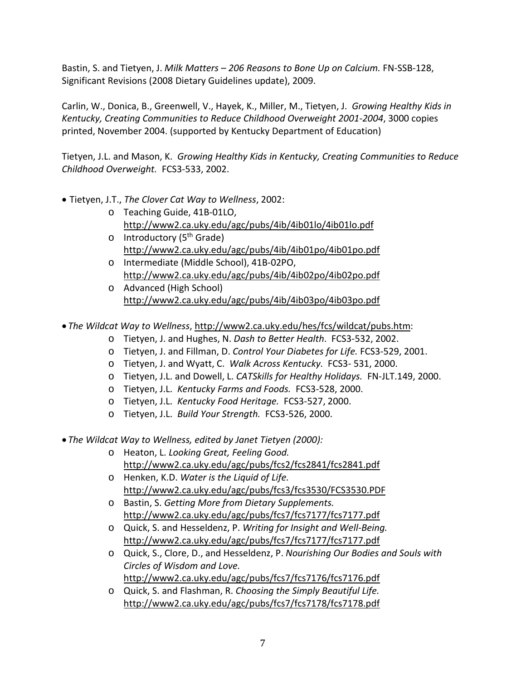Bastin, S. and Tietyen, J. *Milk Matters – 206 Reasons to Bone Up on Calcium.* FN-SSB-128, Significant Revisions (2008 Dietary Guidelines update), 2009.

Carlin, W., Donica, B., Greenwell, V., Hayek, K., Miller, M., Tietyen, J. *Growing Healthy Kids in Kentucky, Creating Communities to Reduce Childhood Overweight 2001-2004*, 3000 copies printed, November 2004. (supported by Kentucky Department of Education)

Tietyen, J.L. and Mason, K. *Growing Healthy Kids in Kentucky, Creating Communities to Reduce Childhood Overweight.* FCS3-533, 2002.

- Tietyen, J.T., *The Clover Cat Way to Wellness*, 2002:
	- o Teaching Guide, 41B-01LO, <http://www2.ca.uky.edu/agc/pubs/4ib/4ib01lo/4ib01lo.pdf>
	- o Introductory (5<sup>th</sup> Grade) <http://www2.ca.uky.edu/agc/pubs/4ib/4ib01po/4ib01po.pdf>
	- o Intermediate (Middle School), 41B-02PO, <http://www2.ca.uky.edu/agc/pubs/4ib/4ib02po/4ib02po.pdf>
	- o Advanced (High School) <http://www2.ca.uky.edu/agc/pubs/4ib/4ib03po/4ib03po.pdf>
- *The Wildcat Way to Wellness*, [http://www2.ca.uky.edu/hes/fcs/wildcat/pubs.htm:](http://www2.ca.uky.edu/hes/fcs/wildcat/pubs.htm)
	- o Tietyen, J. and Hughes, N. *Dash to Better Health*. FCS3-532, 2002.
	- o Tietyen, J. and Fillman, D. *Control Your Diabetes for Life.* FCS3-529, 2001.
	- o Tietyen, J. and Wyatt, C. *Walk Across Kentucky.* FCS3- 531, 2000.
	- o Tietyen, J.L. and Dowell, L. *CATSkills for Healthy Holidays.* FN-JLT.149, 2000.
	- o Tietyen, J.L. *Kentucky Farms and Foods.* FCS3-528, 2000.
	- o Tietyen, J.L. *Kentucky Food Heritage.* FCS3-527, 2000.
	- o Tietyen, J.L. *Build Your Strength.* FCS3-526, 2000.
- *The Wildcat Way to Wellness, edited by Janet Tietyen (2000):*
	- o Heaton, L. *Looking Great, Feeling Good.* <http://www2.ca.uky.edu/agc/pubs/fcs2/fcs2841/fcs2841.pdf>
	- o Henken, K.D. *Water is the Liquid of Life.* <http://www2.ca.uky.edu/agc/pubs/fcs3/fcs3530/FCS3530.PDF>
	- o Bastin, S. *Getting More from Dietary Supplements.* <http://www2.ca.uky.edu/agc/pubs/fcs7/fcs7177/fcs7177.pdf>
	- o Quick, S. and Hesseldenz, P. *Writing for Insight and Well-Being.* <http://www2.ca.uky.edu/agc/pubs/fcs7/fcs7177/fcs7177.pdf>
	- o Quick, S., Clore, D., and Hesseldenz, P. *Nourishing Our Bodies and Souls with Circles of Wisdom and Love.*  <http://www2.ca.uky.edu/agc/pubs/fcs7/fcs7176/fcs7176.pdf>

o Quick, S. and Flashman, R. *Choosing the Simply Beautiful Life.*

<http://www2.ca.uky.edu/agc/pubs/fcs7/fcs7178/fcs7178.pdf>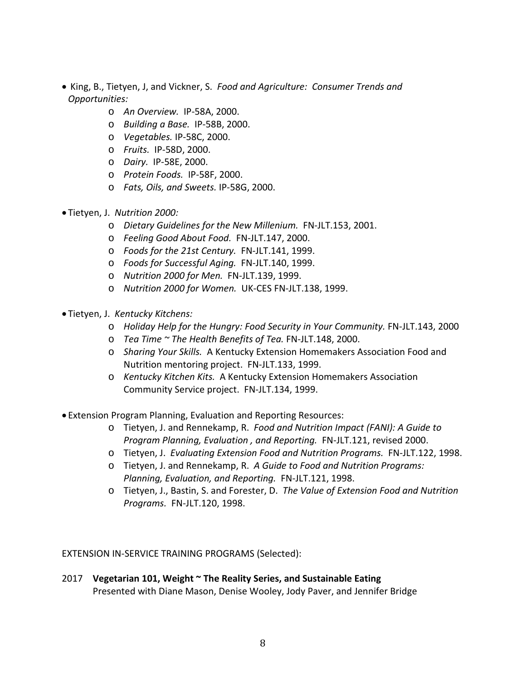- King, B., Tietyen, J, and Vickner, S. *Food and Agriculture: Consumer Trends and Opportunities:*
	- o *An Overview.* IP-58A, 2000.
	- o *Building a Base.* IP-58B, 2000.
	- o *Vegetables.* IP-58C, 2000.
	- o *Fruits.* IP-58D, 2000.
	- o *Dairy.* IP-58E, 2000.
	- o *Protein Foods.* IP-58F, 2000.
	- o *Fats, Oils, and Sweets.* IP-58G, 2000.
- Tietyen, J. *Nutrition 2000:*
	- o *Dietary Guidelines for the New Millenium.* FN-JLT.153, 2001.
	- o *Feeling Good About Food.* FN-JLT.147, 2000.
	- o *Foods for the 21st Century.* FN-JLT.141, 1999.
	- o *Foods for Successful Aging.* FN-JLT.140, 1999.
	- o *Nutrition 2000 for Men.* FN-JLT.139, 1999.
	- o *Nutrition 2000 for Women.* UK-CES FN-JLT.138, 1999.
- Tietyen, J. *Kentucky Kitchens:*
	- o *Holiday Help for the Hungry: Food Security in Your Community.* FN-JLT.143, 2000
	- o *Tea Time ~ The Health Benefits of Tea.* FN-JLT.148, 2000.
	- o *Sharing Your Skills.* A Kentucky Extension Homemakers Association Food and Nutrition mentoring project. FN-JLT.133, 1999.
	- o *Kentucky Kitchen Kits.* A Kentucky Extension Homemakers Association Community Service project. FN-JLT.134, 1999.
- Extension Program Planning, Evaluation and Reporting Resources:
	- o Tietyen, J. and Rennekamp, R. *Food and Nutrition Impact (FANI): A Guide to Program Planning, Evaluation , and Reporting.* FN-JLT.121, revised 2000.
	- o Tietyen, J. *Evaluating Extension Food and Nutrition Programs.* FN-JLT.122, 1998.
	- o Tietyen, J. and Rennekamp, R. *A Guide to Food and Nutrition Programs: Planning, Evaluation, and Reporting.* FN-JLT.121, 1998.
	- o Tietyen, J., Bastin, S. and Forester, D. *The Value of Extension Food and Nutrition Programs.* FN-JLT.120, 1998.

EXTENSION IN-SERVICE TRAINING PROGRAMS (Selected):

2017 **Vegetarian 101, Weight ~ The Reality Series, and Sustainable Eating** Presented with Diane Mason, Denise Wooley, Jody Paver, and Jennifer Bridge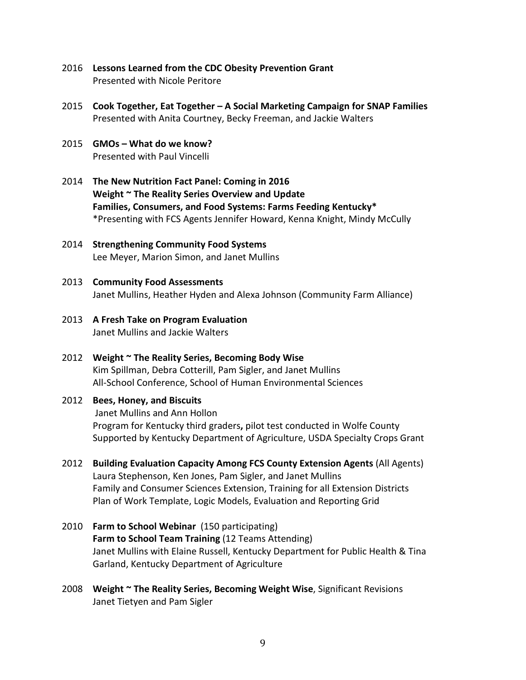- 2016 **Lessons Learned from the CDC Obesity Prevention Grant** Presented with Nicole Peritore
- 2015 **Cook Together, Eat Together – A Social Marketing Campaign for SNAP Families** Presented with Anita Courtney, Becky Freeman, and Jackie Walters
- 2015 **GMOs – What do we know?** Presented with Paul Vincelli
- 2014 **The New Nutrition Fact Panel: Coming in 2016 Weight ~ The Reality Series Overview and Update Families, Consumers, and Food Systems: Farms Feeding Kentucky\*** \*Presenting with FCS Agents Jennifer Howard, Kenna Knight, Mindy McCully
- 2014 **Strengthening Community Food Systems** Lee Meyer, Marion Simon, and Janet Mullins
- 2013 **Community Food Assessments** Janet Mullins, Heather Hyden and Alexa Johnson (Community Farm Alliance)
- 2013 **A Fresh Take on Program Evaluation** Janet Mullins and Jackie Walters
- 2012 **Weight ~ The Reality Series, Becoming Body Wise** Kim Spillman, Debra Cotterill, Pam Sigler, and Janet Mullins All-School Conference, School of Human Environmental Sciences
- 2012 **Bees, Honey, and Biscuits** Janet Mullins and Ann Hollon Program for Kentucky third graders**,** pilot test conducted in Wolfe County Supported by Kentucky Department of Agriculture, USDA Specialty Crops Grant
- 2012 **Building Evaluation Capacity Among FCS County Extension Agents** (All Agents) Laura Stephenson, Ken Jones, Pam Sigler, and Janet Mullins Family and Consumer Sciences Extension, Training for all Extension Districts Plan of Work Template, Logic Models, Evaluation and Reporting Grid
- 2010 **Farm to School Webinar** (150 participating) **Farm to School Team Training** (12 Teams Attending) Janet Mullins with Elaine Russell, Kentucky Department for Public Health & Tina Garland, Kentucky Department of Agriculture
- 2008 **Weight ~ The Reality Series, Becoming Weight Wise**, Significant Revisions Janet Tietyen and Pam Sigler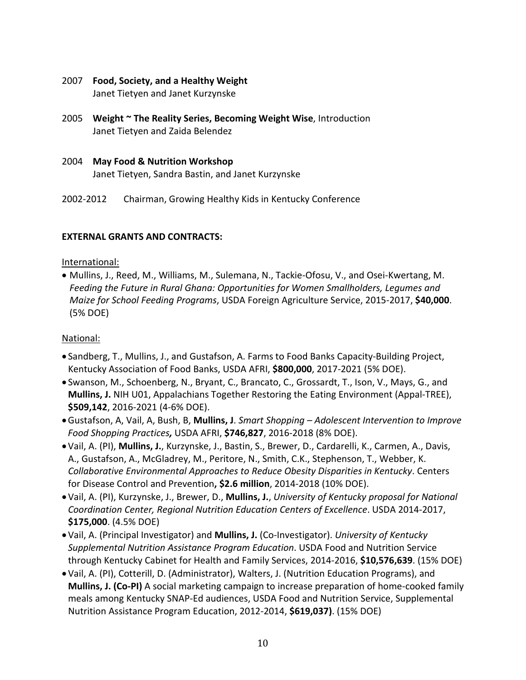- 2007 **Food, Society, and a Healthy Weight** Janet Tietyen and Janet Kurzynske
- 2005 **Weight ~ The Reality Series, Becoming Weight Wise**, Introduction Janet Tietyen and Zaida Belendez
- 2004 **May Food & Nutrition Workshop** Janet Tietyen, Sandra Bastin, and Janet Kurzynske
- 2002-2012 Chairman, Growing Healthy Kids in Kentucky Conference

#### **EXTERNAL GRANTS AND CONTRACTS:**

#### International:

• Mullins, J., Reed, M., Williams, M., Sulemana, N., Tackie-Ofosu, V., and Osei-Kwertang, M. *Feeding the Future in Rural Ghana: Opportunities for Women Smallholders, Legumes and Maize for School Feeding Programs*, USDA Foreign Agriculture Service, 2015-2017, **\$40,000**. (5% DOE)

## National:

- Sandberg, T., Mullins, J., and Gustafson, A. Farms to Food Banks Capacity-Building Project, Kentucky Association of Food Banks, USDA AFRI, **\$800,000**, 2017-2021 (5% DOE).
- Swanson, M., Schoenberg, N., Bryant, C., Brancato, C., Grossardt, T., Ison, V., Mays, G., and **Mullins, J.** NIH U01, Appalachians Together Restoring the Eating Environment (Appal-TREE), **\$509,142**, 2016-2021 (4-6% DOE).
- •Gustafson, A, Vail, A, Bush, B, **Mullins, J**. *Smart Shopping – Adolescent Intervention to Improve Food Shopping Practices,* USDA AFRI, **\$746,827**, 2016-2018 (8% DOE).
- •Vail, A. (PI), **Mullins, J.**, Kurzynske, J., Bastin, S., Brewer, D., Cardarelli, K., Carmen, A., Davis, A., Gustafson, A., McGladrey, M., Peritore, N., Smith, C.K., Stephenson, T., Webber, K. *Collaborative Environmental Approaches to Reduce Obesity Disparities in Kentucky*. Centers for Disease Control and Prevention**, \$2.6 million**, 2014-2018 (10% DOE).
- •Vail, A. (PI), Kurzynske, J., Brewer, D., **Mullins, J.**, *University of Kentucky proposal for National Coordination Center, Regional Nutrition Education Centers of Excellence*. USDA 2014-2017, **\$175,000**. (4.5% DOE)
- •Vail, A. (Principal Investigator) and **Mullins, J.** (Co-Investigator). *University of Kentucky Supplemental Nutrition Assistance Program Education*. USDA Food and Nutrition Service through Kentucky Cabinet for Health and Family Services, 2014-2016, **\$10,576,639**. (15% DOE)
- •Vail, A. (PI), Cotterill, D. (Administrator), Walters, J. (Nutrition Education Programs), and **Mullins, J. (Co-PI)** A social marketing campaign to increase preparation of home-cooked family meals among Kentucky SNAP-Ed audiences, USDA Food and Nutrition Service, Supplemental Nutrition Assistance Program Education, 2012-2014, **\$619,037)**. (15% DOE)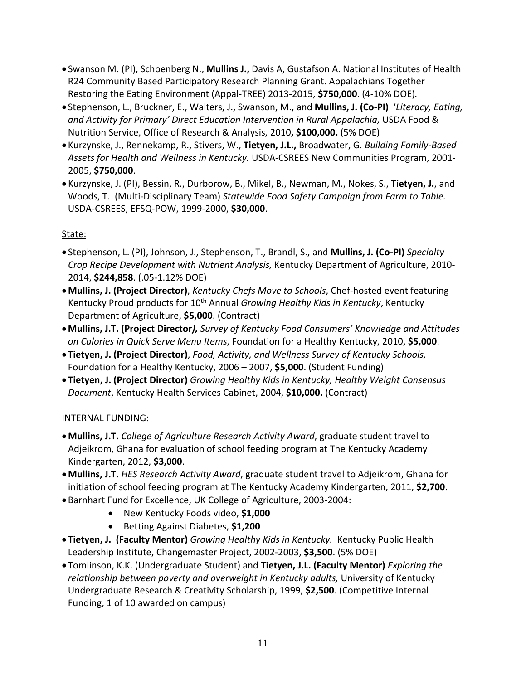- Swanson M. (PI), Schoenberg N., **Mullins J.,** Davis A, Gustafson A. National Institutes of Health R24 Community Based Participatory Research Planning Grant. Appalachians Together Restoring the Eating Environment (Appal-TREE) 2013-2015, **\$750,000**. (4-10% DOE)*.*
- Stephenson, L., Bruckner, E., Walters, J., Swanson, M., and **Mullins, J. (Co-PI)** '*Literacy, Eating,*  and Activity for Primary' Direct Education Intervention in Rural Appalachia, USDA Food & Nutrition Service, Office of Research & Analysis, 2010**, \$100,000.** (5% DOE)
- Kurzynske, J., Rennekamp, R., Stivers, W., **Tietyen, J.L.,** Broadwater, G. *Building Family-Based Assets for Health and Wellness in Kentucky.* USDA-CSREES New Communities Program, 2001- 2005, **\$750,000**.
- Kurzynske, J. (PI), Bessin, R., Durborow, B., Mikel, B., Newman, M., Nokes, S., **Tietyen, J.**, and Woods, T. (Multi-Disciplinary Team) *Statewide Food Safety Campaign from Farm to Table.* USDA-CSREES, EFSQ-POW, 1999-2000, **\$30,000**.

# State:

- Stephenson, L. (PI), Johnson, J., Stephenson, T., Brandl, S., and **Mullins, J. (Co-PI)** *Specialty Crop Recipe Development with Nutrient Analysis,* Kentucky Department of Agriculture, 2010- 2014, **\$244,858**. (.05-1.12% DOE)
- •**Mullins, J. (Project Director)**, *Kentucky Chefs Move to Schools*, Chef-hosted event featuring Kentucky Proud products for 10<sup>th</sup> Annual *Growing Healthy Kids in Kentucky*, Kentucky Department of Agriculture, **\$5,000**. (Contract)
- •**Mullins, J.T. (Project Director***), Survey of Kentucky Food Consumers' Knowledge and Attitudes on Calories in Quick Serve Menu Items*, Foundation for a Healthy Kentucky, 2010, **\$5,000**.
- **Tietyen, J. (Project Director)**, *Food, Activity, and Wellness Survey of Kentucky Schools,*  Foundation for a Healthy Kentucky, 2006 – 2007, **\$5,000**. (Student Funding)
- **Tietyen, J. (Project Director)** *Growing Healthy Kids in Kentucky, Healthy Weight Consensus Document*, Kentucky Health Services Cabinet, 2004, **\$10,000.** (Contract)

# INTERNAL FUNDING:

- •**Mullins, J.T.** *College of Agriculture Research Activity Award*, graduate student travel to Adjeikrom, Ghana for evaluation of school feeding program at The Kentucky Academy Kindergarten, 2012, **\$3,000**.
- •**Mullins, J.T.** *HES Research Activity Award*, graduate student travel to Adjeikrom, Ghana for initiation of school feeding program at The Kentucky Academy Kindergarten, 2011, **\$2,700**.
- Barnhart Fund for Excellence, UK College of Agriculture, 2003-2004:
	- New Kentucky Foods video, **\$1,000**
	- Betting Against Diabetes, **\$1,200**
- **Tietyen, J. (Faculty Mentor)** *Growing Healthy Kids in Kentucky.* Kentucky Public Health Leadership Institute, Changemaster Project, 2002-2003, **\$3,500**. (5% DOE)
- Tomlinson, K.K. (Undergraduate Student) and **Tietyen, J.L. (Faculty Mentor)** *Exploring the*  relationship between poverty and overweight in Kentucky adults, University of Kentucky Undergraduate Research & Creativity Scholarship, 1999, **\$2,500**. (Competitive Internal Funding, 1 of 10 awarded on campus)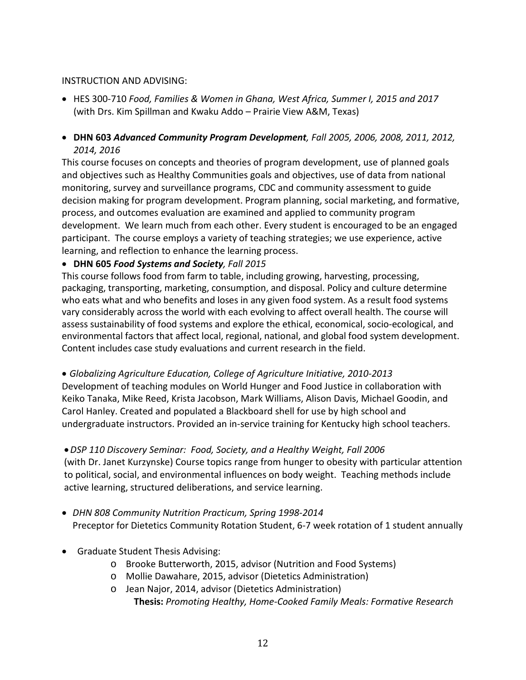#### INSTRUCTION AND ADVISING:

- HES 300-710 *Food, Families & Women in Ghana, West Africa, Summer I, 2015 and 2017* (with Drs. Kim Spillman and Kwaku Addo – Prairie View A&M, Texas)
- **DHN 603** *Advanced Community Program Development, Fall 2005, 2006, 2008, 2011, 2012, 2014, 2016*

This course focuses on concepts and theories of program development, use of planned goals and objectives such as Healthy Communities goals and objectives, use of data from national monitoring, survey and surveillance programs, CDC and community assessment to guide decision making for program development. Program planning, social marketing, and formative, process, and outcomes evaluation are examined and applied to community program development. We learn much from each other. Every student is encouraged to be an engaged participant. The course employs a variety of teaching strategies; we use experience, active learning, and reflection to enhance the learning process.

#### • **DHN 605** *Food Systems and Society, Fall 2015*

This course follows food from farm to table, including growing, harvesting, processing, packaging, transporting, marketing, consumption, and disposal. Policy and culture determine who eats what and who benefits and loses in any given food system. As a result food systems vary considerably across the world with each evolving to affect overall health. The course will assess sustainability of food systems and explore the ethical, economical, socio-ecological, and environmental factors that affect local, regional, national, and global food system development. Content includes case study evaluations and current research in the field.

• *Globalizing Agriculture Education, College of Agriculture Initiative, 2010-2013*

Development of teaching modules on World Hunger and Food Justice in collaboration with Keiko Tanaka, Mike Reed, Krista Jacobson, Mark Williams, Alison Davis, Michael Goodin, and Carol Hanley. Created and populated a Blackboard shell for use by high school and undergraduate instructors. Provided an in-service training for Kentucky high school teachers.

#### •*DSP 110 Discovery Seminar: Food, Society, and a Healthy Weight, Fall 2006*

(with Dr. Janet Kurzynske) Course topics range from hunger to obesity with particular attention to political, social, and environmental influences on body weight. Teaching methods include active learning, structured deliberations, and service learning.

- *DHN 808 Community Nutrition Practicum, Spring 1998-2014* Preceptor for Dietetics Community Rotation Student, 6-7 week rotation of 1 student annually
- Graduate Student Thesis Advising:
	- o Brooke Butterworth, 2015, advisor (Nutrition and Food Systems)
	- o Mollie Dawahare, 2015, advisor (Dietetics Administration)
	- o Jean Najor, 2014, advisor (Dietetics Administration) **Thesis:** *Promoting Healthy, Home-Cooked Family Meals: Formative Research*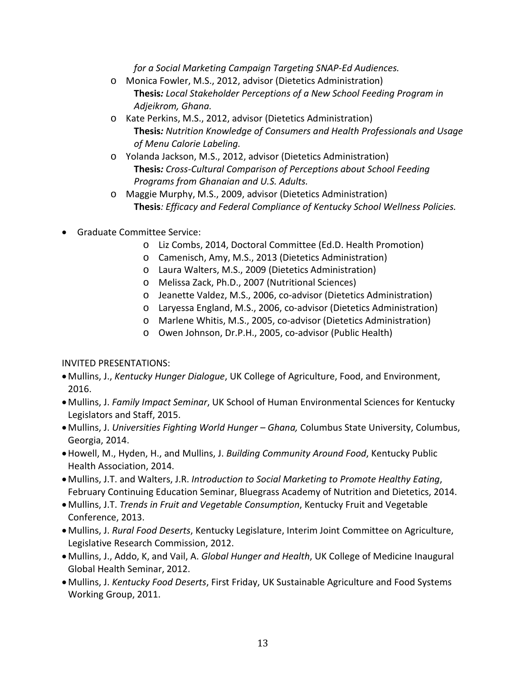*for a Social Marketing Campaign Targeting SNAP-Ed Audiences.*

- o Monica Fowler, M.S., 2012, advisor (Dietetics Administration) **Thesis***: Local Stakeholder Perceptions of a New School Feeding Program in Adjeikrom, Ghana.*
- o Kate Perkins, M.S., 2012, advisor (Dietetics Administration) **Thesis***: Nutrition Knowledge of Consumers and Health Professionals and Usage of Menu Calorie Labeling.*
- o Yolanda Jackson, M.S., 2012, advisor (Dietetics Administration) **Thesis***: Cross-Cultural Comparison of Perceptions about School Feeding Programs from Ghanaian and U.S. Adults.*
- o Maggie Murphy, M.S., 2009, advisor (Dietetics Administration) **Thesis***: Efficacy and Federal Compliance of Kentucky School Wellness Policies.*
- Graduate Committee Service:
	- o Liz Combs, 2014, Doctoral Committee (Ed.D. Health Promotion)
	- o Camenisch, Amy, M.S., 2013 (Dietetics Administration)
	- o Laura Walters, M.S., 2009 (Dietetics Administration)
	- o Melissa Zack, Ph.D., 2007 (Nutritional Sciences)
	- o Jeanette Valdez, M.S., 2006, co-advisor (Dietetics Administration)
	- o Laryessa England, M.S., 2006, co-advisor (Dietetics Administration)
	- o Marlene Whitis, M.S., 2005, co-advisor (Dietetics Administration)
	- o Owen Johnson, Dr.P.H., 2005, co-advisor (Public Health)

#### INVITED PRESENTATIONS:

- •Mullins, J., *Kentucky Hunger Dialogue*, UK College of Agriculture, Food, and Environment, 2016.
- •Mullins, J. *Family Impact Seminar*, UK School of Human Environmental Sciences for Kentucky Legislators and Staff, 2015.
- •Mullins, J. *Universities Fighting World Hunger – Ghana,* Columbus State University, Columbus, Georgia, 2014.
- •Howell, M., Hyden, H., and Mullins, J. *Building Community Around Food*, Kentucky Public Health Association, 2014.
- •Mullins, J.T. and Walters, J.R. *Introduction to Social Marketing to Promote Healthy Eating*, February Continuing Education Seminar, Bluegrass Academy of Nutrition and Dietetics, 2014.
- •Mullins, J.T. *Trends in Fruit and Vegetable Consumption*, Kentucky Fruit and Vegetable Conference, 2013.
- •Mullins, J. *Rural Food Deserts*, Kentucky Legislature, Interim Joint Committee on Agriculture, Legislative Research Commission, 2012.
- •Mullins, J., Addo, K, and Vail, A. *Global Hunger and Health*, UK College of Medicine Inaugural Global Health Seminar, 2012.
- •Mullins, J. *Kentucky Food Deserts*, First Friday, UK Sustainable Agriculture and Food Systems Working Group, 2011.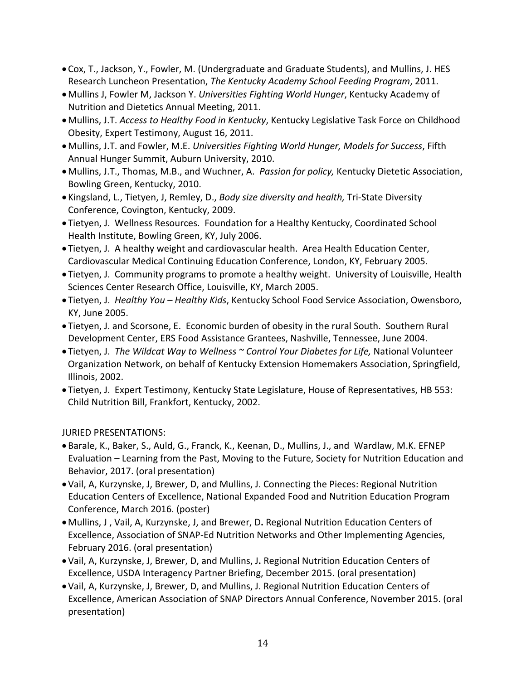- Cox, T., Jackson, Y., Fowler, M. (Undergraduate and Graduate Students), and Mullins, J. HES Research Luncheon Presentation, *The Kentucky Academy School Feeding Program*, 2011.
- •Mullins J, Fowler M, Jackson Y. *Universities Fighting World Hunger*, Kentucky Academy of Nutrition and Dietetics Annual Meeting, 2011.
- •Mullins, J.T. *Access to Healthy Food in Kentucky*, Kentucky Legislative Task Force on Childhood Obesity, Expert Testimony, August 16, 2011.
- •Mullins, J.T. and Fowler, M.E. *Universities Fighting World Hunger, Models for Success*, Fifth Annual Hunger Summit, Auburn University, 2010.
- •Mullins, J.T., Thomas, M.B., and Wuchner, A. *Passion for policy,* Kentucky Dietetic Association, Bowling Green, Kentucky, 2010.
- Kingsland, L., Tietyen, J, Remley, D., *Body size diversity and health,* Tri-State Diversity Conference, Covington, Kentucky, 2009.
- Tietyen, J. Wellness Resources. Foundation for a Healthy Kentucky, Coordinated School Health Institute, Bowling Green, KY, July 2006.
- Tietyen, J. A healthy weight and cardiovascular health. Area Health Education Center, Cardiovascular Medical Continuing Education Conference, London, KY, February 2005.
- Tietyen, J. Community programs to promote a healthy weight. University of Louisville, Health Sciences Center Research Office, Louisville, KY, March 2005.
- Tietyen, J. *Healthy You – Healthy Kids*, Kentucky School Food Service Association, Owensboro, KY, June 2005.
- Tietyen, J. and Scorsone, E. Economic burden of obesity in the rural South. Southern Rural Development Center, ERS Food Assistance Grantees, Nashville, Tennessee, June 2004.
- Tietyen, J. *The Wildcat Way to Wellness ~ Control Your Diabetes for Life,* National Volunteer Organization Network, on behalf of Kentucky Extension Homemakers Association, Springfield, Illinois, 2002.
- Tietyen, J. Expert Testimony, Kentucky State Legislature, House of Representatives, HB 553: Child Nutrition Bill, Frankfort, Kentucky, 2002.

JURIED PRESENTATIONS:

- Barale, K., Baker, S., Auld, G., Franck, K., Keenan, D., Mullins, J., and Wardlaw, M.K. EFNEP Evaluation – Learning from the Past, Moving to the Future, Society for Nutrition Education and Behavior, 2017. (oral presentation)
- •Vail, A, Kurzynske, J, Brewer, D, and Mullins, J. Connecting the Pieces: Regional Nutrition Education Centers of Excellence, National Expanded Food and Nutrition Education Program Conference, March 2016. (poster)
- •Mullins, J , Vail, A, Kurzynske, J, and Brewer, D**.** Regional Nutrition Education Centers of Excellence, Association of SNAP-Ed Nutrition Networks and Other Implementing Agencies, February 2016. (oral presentation)
- •Vail, A, Kurzynske, J, Brewer, D, and Mullins, J**.** Regional Nutrition Education Centers of Excellence, USDA Interagency Partner Briefing, December 2015. (oral presentation)
- •Vail, A, Kurzynske, J, Brewer, D, and Mullins, J. Regional Nutrition Education Centers of Excellence, American Association of SNAP Directors Annual Conference, November 2015. (oral presentation)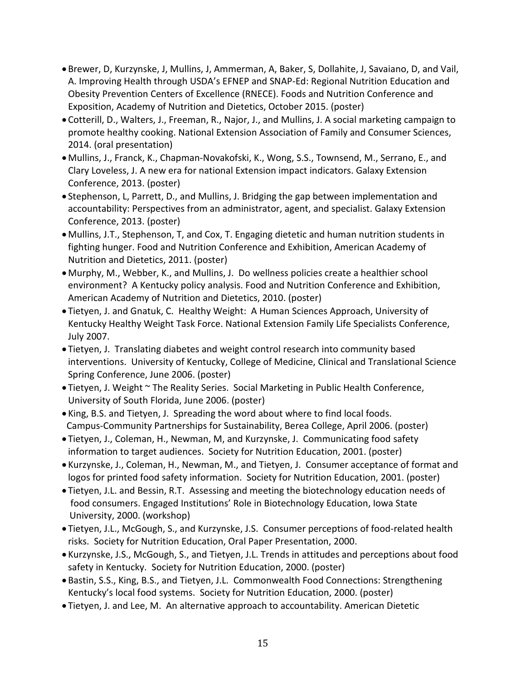- Brewer, D, Kurzynske, J, Mullins, J, Ammerman, A, Baker, S, Dollahite, J, Savaiano, D, and Vail, A. Improving Health through USDA's EFNEP and SNAP-Ed: Regional Nutrition Education and Obesity Prevention Centers of Excellence (RNECE). Foods and Nutrition Conference and Exposition, Academy of Nutrition and Dietetics, October 2015. (poster)
- Cotterill, D., Walters, J., Freeman, R., Najor, J., and Mullins, J. A social marketing campaign to promote healthy cooking. National Extension Association of Family and Consumer Sciences, 2014. (oral presentation)
- •Mullins, J., Franck, K., Chapman-Novakofski, K., Wong, S.S., Townsend, M., Serrano, E., and Clary Loveless, J. A new era for national Extension impact indicators. Galaxy Extension Conference, 2013. (poster)
- Stephenson, L, Parrett, D., and Mullins, J. Bridging the gap between implementation and accountability: Perspectives from an administrator, agent, and specialist. Galaxy Extension Conference, 2013. (poster)
- •Mullins, J.T., Stephenson, T, and Cox, T. Engaging dietetic and human nutrition students in fighting hunger. Food and Nutrition Conference and Exhibition, American Academy of Nutrition and Dietetics, 2011. (poster)
- •Murphy, M., Webber, K., and Mullins, J. Do wellness policies create a healthier school environment? A Kentucky policy analysis. Food and Nutrition Conference and Exhibition, American Academy of Nutrition and Dietetics, 2010. (poster)
- Tietyen, J. and Gnatuk, C. Healthy Weight: A Human Sciences Approach, University of Kentucky Healthy Weight Task Force. National Extension Family Life Specialists Conference, July 2007.
- Tietyen, J. Translating diabetes and weight control research into community based interventions. University of Kentucky, College of Medicine, Clinical and Translational Science Spring Conference, June 2006. (poster)
- Tietyen, J. Weight ~ The Reality Series. Social Marketing in Public Health Conference, University of South Florida, June 2006. (poster)
- King, B.S. and Tietyen, J. Spreading the word about where to find local foods. Campus-Community Partnerships for Sustainability, Berea College, April 2006. (poster)
- Tietyen, J., Coleman, H., Newman, M, and Kurzynske, J. Communicating food safety information to target audiences. Society for Nutrition Education, 2001. (poster)
- Kurzynske, J., Coleman, H., Newman, M., and Tietyen, J. Consumer acceptance of format and logos for printed food safety information. Society for Nutrition Education, 2001. (poster)
- Tietyen, J.L. and Bessin, R.T. Assessing and meeting the biotechnology education needs of food consumers. Engaged Institutions' Role in Biotechnology Education, Iowa State University, 2000. (workshop)
- Tietyen, J.L., McGough, S., and Kurzynske, J.S. Consumer perceptions of food-related health risks. Society for Nutrition Education, Oral Paper Presentation, 2000.
- Kurzynske, J.S., McGough, S., and Tietyen, J.L. Trends in attitudes and perceptions about food safety in Kentucky. Society for Nutrition Education, 2000. (poster)
- Bastin, S.S., King, B.S., and Tietyen, J.L. Commonwealth Food Connections: Strengthening Kentucky's local food systems. Society for Nutrition Education, 2000. (poster)
- Tietyen, J. and Lee, M. An alternative approach to accountability. American Dietetic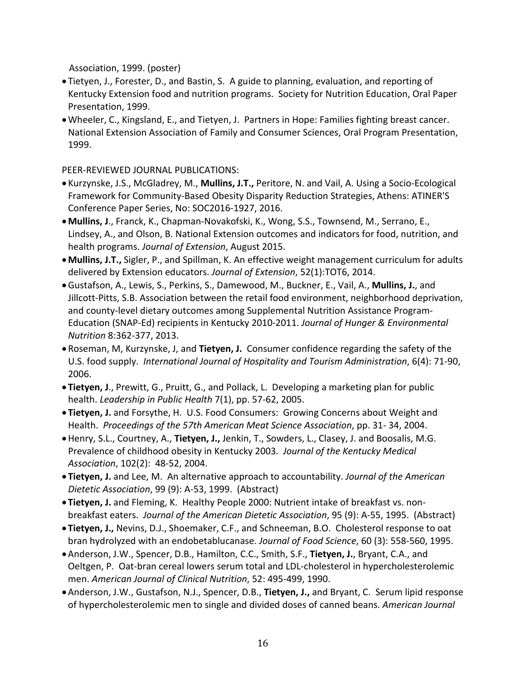Association, 1999. (poster)

- Tietyen, J., Forester, D., and Bastin, S. A guide to planning, evaluation, and reporting of Kentucky Extension food and nutrition programs. Society for Nutrition Education, Oral Paper Presentation, 1999.
- •Wheeler, C., Kingsland, E., and Tietyen, J. Partners in Hope: Families fighting breast cancer. National Extension Association of Family and Consumer Sciences, Oral Program Presentation, 1999.

PEER-REVIEWED JOURNAL PUBLICATIONS:

- Kurzynske, J.S., McGladrey, M., **Mullins, J.T.,** Peritore, N. and Vail, A. Using a Socio-Ecological Framework for Community-Based Obesity Disparity Reduction Strategies, Athens: ATINER'S Conference Paper Series, No: SOC2016-1927, 2016.
- •**Mullins, J**., Franck, K., Chapman-Novakofski, K., Wong, S.S., Townsend, M., Serrano, E., Lindsey, A., and Olson, B. National Extension outcomes and indicators for food, nutrition, and health programs. *Journal of Extension*, August 2015.
- •**Mullins, J.T.,** Sigler, P., and Spillman, K. An effective weight management curriculum for adults delivered by Extension educators. *Journal of Extension*, 52(1):TOT6, 2014.
- •Gustafson, A., Lewis, S., Perkins, S., Damewood, M., Buckner, E., Vail, A., **Mullins, J.**, and Jillcott-Pitts, S.B. Association between the retail food environment, neighborhood deprivation, and county-level dietary outcomes among Supplemental Nutrition Assistance Program-Education (SNAP-Ed) recipients in Kentucky 2010-2011. *Journal of Hunger & Environmental Nutrition* 8:362-377, 2013.
- Roseman, M, Kurzynske, J, and **Tietyen, J.** Consumer confidence regarding the safety of the U.S. food supply. *International Journal of Hospitality and Tourism Administration*, 6(4): 71-90, 2006.
- **Tietyen, J**., Prewitt, G., Pruitt, G., and Pollack, L. Developing a marketing plan for public health. *Leadership in Public Health* 7(1), pp. 57-62, 2005.
- **Tietyen, J.** and Forsythe, H. U.S. Food Consumers: Growing Concerns about Weight and Health. *Proceedings of the 57th American Meat Science Association*, pp. 31- 34, 2004.
- •Henry, S.L., Courtney, A., **Tietyen, J.,** Jenkin, T., Sowders, L., Clasey, J. and Boosalis, M.G. Prevalence of childhood obesity in Kentucky 2003. *Journal of the Kentucky Medical Association*, 102(2): 48-52, 2004.
- **Tietyen, J.** and Lee, M. An alternative approach to accountability. *Journal of the American Dietetic Association*, 99 (9): A-53, 1999. (Abstract)
- **Tietyen, J.** and Fleming, K. Healthy People 2000: Nutrient intake of breakfast vs. nonbreakfast eaters. *Journal of the American Dietetic Association*, 95 (9): A-55, 1995. (Abstract)
- **Tietyen, J.,** Nevins, D.J., Shoemaker, C.F., and Schneeman, B.O. Cholesterol response to oat bran hydrolyzed with an endobetablucanase. *Journal of Food Science*, 60 (3): 558-560, 1995.
- •Anderson, J.W., Spencer, D.B., Hamilton, C.C., Smith, S.F., **Tietyen, J.**, Bryant, C.A., and Oeltgen, P. Oat-bran cereal lowers serum total and LDL-cholesterol in hypercholesterolemic men. *American Journal of Clinical Nutrition*, 52: 495-499, 1990.
- •Anderson, J.W., Gustafson, N.J., Spencer, D.B., **Tietyen, J.,** and Bryant, C. Serum lipid response of hypercholesterolemic men to single and divided doses of canned beans. *American Journal*